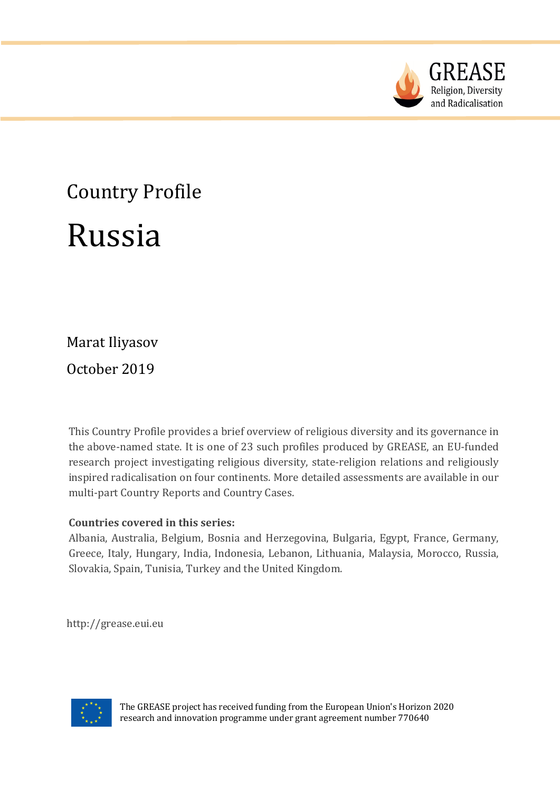

# Country Profile Russia

Marat Iliyasov

October 2019

This Country Profile provides a brief overview of religious diversity and its governance in the above-named state. It is one of 23 such profiles produced by GREASE, an EU-funded research project investigating religious diversity, state-religion relations and religiously inspired radicalisation on four continents. More detailed assessments are available in our multi-part Country Reports and Country Cases.

# **Countries covered in this series:**

Albania, Australia, Belgium, Bosnia and Herzegovina, Bulgaria, Egypt, France, Germany, Greece, Italy, Hungary, India, Indonesia, Lebanon, Lithuania, Malaysia, Morocco, Russia, Slovakia, Spain, Tunisia, Turkey and the United Kingdom.

http://grease.eui.eu



The GREASE project has received funding from the European Union's Horizon 2020 research and innovation programme under grant agreement number 770640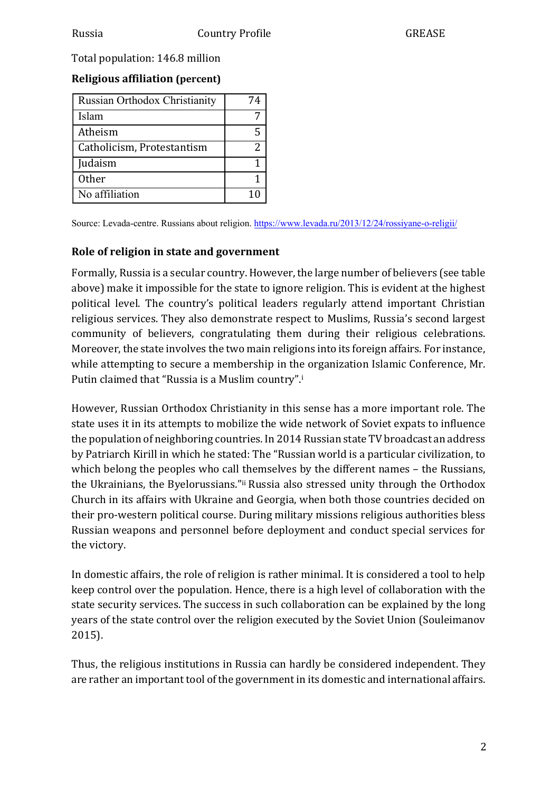Total population: 146.8 million

# **Religious affiliation (percent)**

| <b>Russian Orthodox Christianity</b> | 74 |
|--------------------------------------|----|
| <b>Islam</b>                         |    |
| Atheism                              |    |
| Catholicism, Protestantism           | 2  |
| Judaism                              |    |
| Other                                |    |
| No affiliation                       |    |

Source: Levada-centre. Russians about religion. https://www.levada.ru/2013/12/24/rossiyane-o-religii/

## **Role of religion in state and government**

Formally, Russia is a secular country. However, the large number of believers (see table above) make it impossible for the state to ignore religion. This is evident at the highest political level. The country's political leaders regularly attend important Christian religious services. They also demonstrate respect to Muslims, Russia's second largest community of believers, congratulating them during their religious celebrations. Moreover, the state involves the two main religions into its foreign affairs. For instance, while attempting to secure a membership in the organization Islamic Conference, Mr. Putin claimed that "Russia is a Muslim country".<sup>i</sup>

However, Russian Orthodox Christianity in this sense has a more important role. The state uses it in its attempts to mobilize the wide network of Soviet expats to influence the population of neighboring countries. In 2014 Russian state TV broadcast an address by Patriarch Kirill in which he stated: The "Russian world is a particular civilization, to which belong the peoples who call themselves by the different names  $-$  the Russians, the Ukrainians, the Byelorussians."ii Russia also stressed unity through the Orthodox Church in its affairs with Ukraine and Georgia, when both those countries decided on their pro-western political course. During military missions religious authorities bless Russian weapons and personnel before deployment and conduct special services for the victory.

In domestic affairs, the role of religion is rather minimal. It is considered a tool to help keep control over the population. Hence, there is a high level of collaboration with the state security services. The success in such collaboration can be explained by the long years of the state control over the religion executed by the Soviet Union (Souleimanov 2015). 

Thus, the religious institutions in Russia can hardly be considered independent. They are rather an important tool of the government in its domestic and international affairs.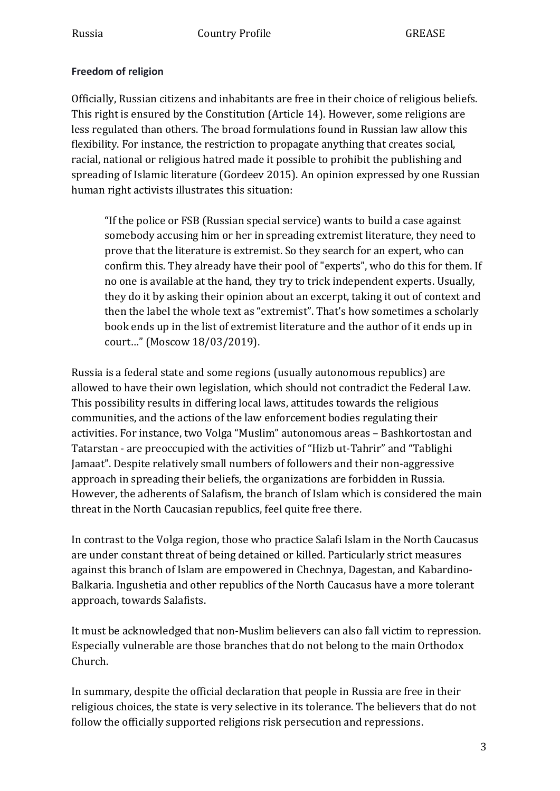#### **Freedom of religion**

Officially, Russian citizens and inhabitants are free in their choice of religious beliefs. This right is ensured by the Constitution (Article 14). However, some religions are less regulated than others. The broad formulations found in Russian law allow this flexibility. For instance, the restriction to propagate anything that creates social, racial, national or religious hatred made it possible to prohibit the publishing and spreading of Islamic literature (Gordeev 2015). An opinion expressed by one Russian human right activists illustrates this situation:

"If the police or FSB (Russian special service) wants to build a case against somebody accusing him or her in spreading extremist literature, they need to prove that the literature is extremist. So they search for an expert, who can confirm this. They already have their pool of "experts", who do this for them. If no one is available at the hand, they try to trick independent experts. Usually, they do it by asking their opinion about an excerpt, taking it out of context and then the label the whole text as "extremist". That's how sometimes a scholarly book ends up in the list of extremist literature and the author of it ends up in court..." (Moscow 18/03/2019).

Russia is a federal state and some regions (usually autonomous republics) are allowed to have their own legislation, which should not contradict the Federal Law. This possibility results in differing local laws, attitudes towards the religious communities, and the actions of the law enforcement bodies regulating their activities. For instance, two Volga "Muslim" autonomous areas - Bashkortostan and Tatarstan - are preoccupied with the activities of "Hizb ut-Tahrir" and "Tablighi Jamaat". Despite relatively small numbers of followers and their non-aggressive approach in spreading their beliefs, the organizations are forbidden in Russia. However, the adherents of Salafism, the branch of Islam which is considered the main threat in the North Caucasian republics, feel quite free there.

In contrast to the Volga region, those who practice Salafi Islam in the North Caucasus are under constant threat of being detained or killed. Particularly strict measures against this branch of Islam are empowered in Chechnya, Dagestan, and Kabardino-Balkaria. Ingushetia and other republics of the North Caucasus have a more tolerant approach, towards Salafists.

It must be acknowledged that non-Muslim believers can also fall victim to repression. Especially vulnerable are those branches that do not belong to the main Orthodox Church.

In summary, despite the official declaration that people in Russia are free in their religious choices, the state is very selective in its tolerance. The believers that do not follow the officially supported religions risk persecution and repressions.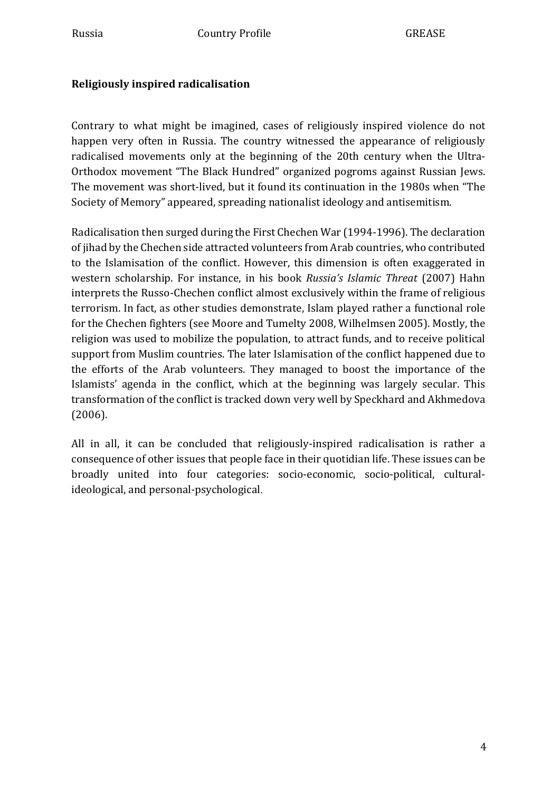# **Religiously inspired radicalisation**

Contrary to what might be imagined, cases of religiously inspired violence do not happen very often in Russia. The country witnessed the appearance of religiously radicalised movements only at the beginning of the 20th century when the Ultra-Orthodox movement "The Black Hundred" organized pogroms against Russian Jews. The movement was short-lived, but it found its continuation in the 1980s when "The Society of Memory" appeared, spreading nationalist ideology and antisemitism.

Radicalisation then surged during the First Chechen War (1994-1996). The declaration of jihad by the Chechen side attracted volunteers from Arab countries, who contributed to the Islamisation of the conflict. However, this dimension is often exaggerated in western scholarship. For instance, in his book *Russia's Islamic Threat* (2007) Hahn interprets the Russo-Chechen conflict almost exclusively within the frame of religious terrorism. In fact, as other studies demonstrate, Islam played rather a functional role for the Chechen fighters (see Moore and Tumelty 2008, Wilhelmsen 2005). Mostly, the religion was used to mobilize the population, to attract funds, and to receive political support from Muslim countries. The later Islamisation of the conflict happened due to the efforts of the Arab volunteers. They managed to boost the importance of the Islamists' agenda in the conflict, which at the beginning was largely secular. This transformation of the conflict is tracked down very well by Speckhard and Akhmedova (2006). 

All in all, it can be concluded that religiously-inspired radicalisation is rather a consequence of other issues that people face in their quotidian life. These issues can be broadly united into four categories: socio-economic, socio-political, culturalideological, and personal-psychological.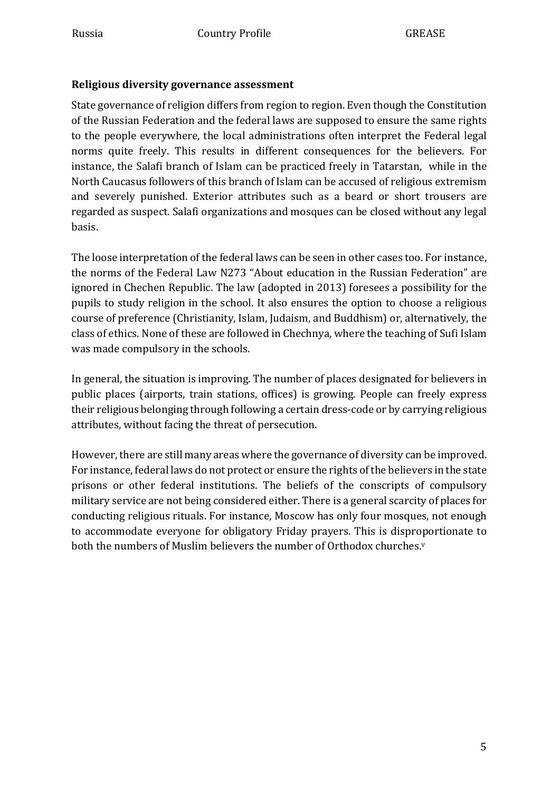#### **Religious diversity governance assessment**

State governance of religion differs from region to region. Even though the Constitution of the Russian Federation and the federal laws are supposed to ensure the same rights to the people everywhere, the local administrations often interpret the Federal legal norms quite freely. This results in different consequences for the believers. For instance, the Salafi branch of Islam can be practiced freely in Tatarstan, while in the North Caucasus followers of this branch of Islam can be accused of religious extremism and severely punished. Exterior attributes such as a beard or short trousers are regarded as suspect. Salafi organizations and mosques can be closed without any legal basis. 

The loose interpretation of the federal laws can be seen in other cases too. For instance, the norms of the Federal Law N273 "About education in the Russian Federation" are ignored in Chechen Republic. The law (adopted in 2013) foresees a possibility for the pupils to study religion in the school. It also ensures the option to choose a religious course of preference (Christianity, Islam, Judaism, and Buddhism) or, alternatively, the class of ethics. None of these are followed in Chechnya, where the teaching of Sufi Islam was made compulsory in the schools.

In general, the situation is improving. The number of places designated for believers in public places (airports, train stations, offices) is growing. People can freely express their religious belonging through following a certain dress-code or by carrying religious attributes, without facing the threat of persecution.

However, there are still many areas where the governance of diversity can be improved. For instance, federal laws do not protect or ensure the rights of the believers in the state prisons or other federal institutions. The beliefs of the conscripts of compulsory military service are not being considered either. There is a general scarcity of places for conducting religious rituals. For instance, Moscow has only four mosques, not enough to accommodate everyone for obligatory Friday prayers. This is disproportionate to both the numbers of Muslim believers the number of Orthodox churches.<sup>v</sup>